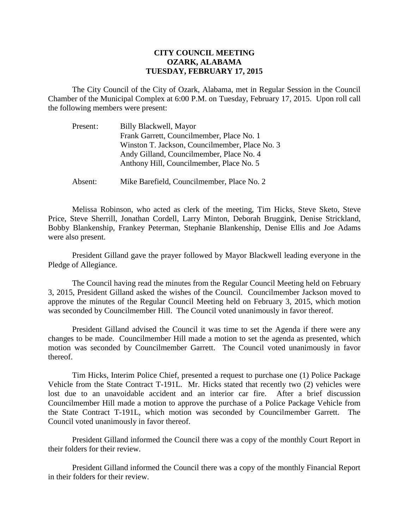## **CITY COUNCIL MEETING OZARK, ALABAMA TUESDAY, FEBRUARY 17, 2015**

The City Council of the City of Ozark, Alabama, met in Regular Session in the Council Chamber of the Municipal Complex at 6:00 P.M. on Tuesday, February 17, 2015. Upon roll call the following members were present:

| Present: | Billy Blackwell, Mayor                         |
|----------|------------------------------------------------|
|          | Frank Garrett, Councilmember, Place No. 1      |
|          | Winston T. Jackson, Councilmember, Place No. 3 |
|          | Andy Gilland, Councilmember, Place No. 4       |
|          | Anthony Hill, Councilmember, Place No. 5       |
|          |                                                |

Absent: Mike Barefield, Councilmember, Place No. 2

Melissa Robinson, who acted as clerk of the meeting, Tim Hicks, Steve Sketo, Steve Price, Steve Sherrill, Jonathan Cordell, Larry Minton, Deborah Bruggink, Denise Strickland, Bobby Blankenship, Frankey Peterman, Stephanie Blankenship, Denise Ellis and Joe Adams were also present.

President Gilland gave the prayer followed by Mayor Blackwell leading everyone in the Pledge of Allegiance.

The Council having read the minutes from the Regular Council Meeting held on February 3, 2015, President Gilland asked the wishes of the Council. Councilmember Jackson moved to approve the minutes of the Regular Council Meeting held on February 3, 2015, which motion was seconded by Councilmember Hill. The Council voted unanimously in favor thereof.

President Gilland advised the Council it was time to set the Agenda if there were any changes to be made. Councilmember Hill made a motion to set the agenda as presented, which motion was seconded by Councilmember Garrett. The Council voted unanimously in favor thereof.

Tim Hicks, Interim Police Chief, presented a request to purchase one (1) Police Package Vehicle from the State Contract T-191L. Mr. Hicks stated that recently two (2) vehicles were lost due to an unavoidable accident and an interior car fire. After a brief discussion Councilmember Hill made a motion to approve the purchase of a Police Package Vehicle from the State Contract T-191L, which motion was seconded by Councilmember Garrett. The Council voted unanimously in favor thereof.

President Gilland informed the Council there was a copy of the monthly Court Report in their folders for their review.

President Gilland informed the Council there was a copy of the monthly Financial Report in their folders for their review.